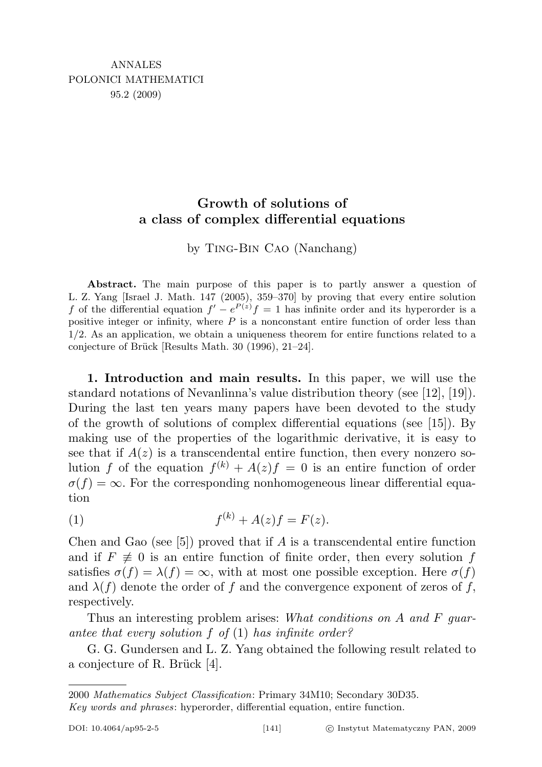# Growth of solutions of a class of complex differential equations

by Ting-Bin Cao (Nanchang)

Abstract. The main purpose of this paper is to partly answer a question of L. Z. Yang [Israel J. Math. 147 (2005), 359–370] by proving that every entire solution f of the differential equation  $f' - e^{P(z)}f = 1$  has infinite order and its hyperorder is a positive integer or infinity, where  $P$  is a nonconstant entire function of order less than 1/2. As an application, we obtain a uniqueness theorem for entire functions related to a conjecture of Brück [Results Math. 30 (1996),  $21-24$ ].

1. Introduction and main results. In this paper, we will use the standard notations of Nevanlinna's value distribution theory (see [12], [19]). During the last ten years many papers have been devoted to the study of the growth of solutions of complex differential equations (see [15]). By making use of the properties of the logarithmic derivative, it is easy to see that if  $A(z)$  is a transcendental entire function, then every nonzero solution f of the equation  $f^{(k)} + A(z)f = 0$  is an entire function of order  $\sigma(f) = \infty$ . For the corresponding nonhomogeneous linear differential equation

$$
(1) \t f(k) + A(z)f = F(z).
$$

Chen and Gao (see  $[5]$ ) proved that if A is a transcendental entire function and if  $F \neq 0$  is an entire function of finite order, then every solution f satisfies  $\sigma(f) = \lambda(f) = \infty$ , with at most one possible exception. Here  $\sigma(f)$ and  $\lambda(f)$  denote the order of f and the convergence exponent of zeros of f, respectively.

Thus an interesting problem arises: What conditions on A and F guarantee that every solution  $f$  of  $(1)$  has infinite order?

G. G. Gundersen and L. Z. Yang obtained the following result related to a conjecture of R. Brück  $[4]$ .

<sup>2000</sup> Mathematics Subject Classification: Primary 34M10; Secondary 30D35. Key words and phrases: hyperorder, differential equation, entire function.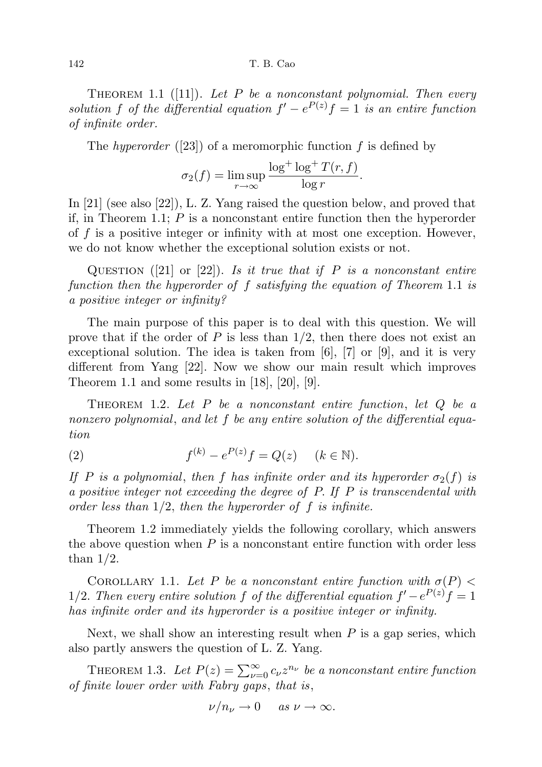## 142 T. B. Cao

THEOREM 1.1 ([11]). Let P be a nonconstant polynomial. Then every solution f of the differential equation  $f' - e^{P(z)}f = 1$  is an entire function of infinite order.

The *hyperorder* ([23]) of a meromorphic function f is defined by

$$
\sigma_2(f) = \limsup_{r \to \infty} \frac{\log^+ \log^+ T(r, f)}{\log r}.
$$

In [21] (see also [22]), L. Z. Yang raised the question below, and proved that if, in Theorem 1.1;  $P$  is a nonconstant entire function then the hyperorder of f is a positive integer or infinity with at most one exception. However, we do not know whether the exceptional solution exists or not.

QUESTION ([21] or [22]). Is it true that if P is a nonconstant entire function then the hyperorder of f satisfying the equation of Theorem 1.1 is a positive integer or infinity?

The main purpose of this paper is to deal with this question. We will prove that if the order of P is less than  $1/2$ , then there does not exist an exceptional solution. The idea is taken from [6], [7] or [9], and it is very different from Yang [22]. Now we show our main result which improves Theorem 1.1 and some results in [18], [20], [9].

THEOREM 1.2. Let  $P$  be a nonconstant entire function, let  $Q$  be a nonzero polynomial, and let f be any entire solution of the differential equation

(2) 
$$
f^{(k)} - e^{P(z)}f = Q(z) \quad (k \in \mathbb{N}).
$$

If P is a polynomial, then f has infinite order and its hyperorder  $\sigma_2(f)$  is a positive integer not exceeding the degree of P. If P is transcendental with order less than  $1/2$ , then the hyperorder of f is infinite.

Theorem 1.2 immediately yields the following corollary, which answers the above question when  $P$  is a nonconstant entire function with order less than  $1/2$ .

COROLLARY 1.1. Let P be a nonconstant entire function with  $\sigma(P)$ 1/2. Then every entire solution f of the differential equation  $f' - e^{P(z)}f = 1$ has infinite order and its hyperorder is a positive integer or infinity.

Next, we shall show an interesting result when  $P$  is a gap series, which also partly answers the question of L. Z. Yang.

THEOREM 1.3. Let  $P(z) = \sum_{\nu=0}^{\infty} c_{\nu} z^{n_{\nu}}$  be a nonconstant entire function of finite lower order with Fabry gaps, that is,

$$
\nu/n_{\nu} \to 0 \quad \text{as } \nu \to \infty.
$$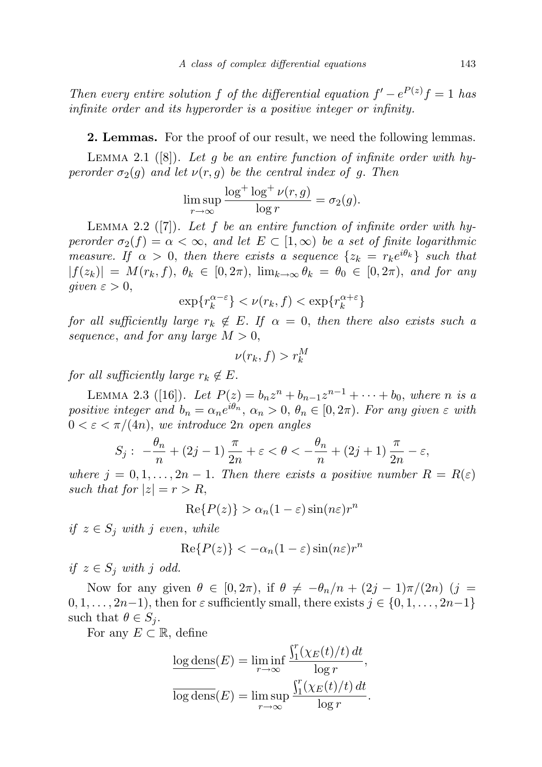Then every entire solution f of the differential equation  $f' - e^{P(z)}f = 1$  has infinite order and its hyperorder is a positive integer or infinity.

2. Lemmas. For the proof of our result, we need the following lemmas.

LEMMA 2.1 ([8]). Let g be an entire function of infinite order with hyperorder  $\sigma_2(g)$  and let  $\nu(r,g)$  be the central index of g. Then

$$
\limsup_{r \to \infty} \frac{\log^+ \log^+ \nu(r, g)}{\log r} = \sigma_2(g).
$$

LEMMA 2.2 ([7]). Let f be an entire function of infinite order with hyperorder  $\sigma_2(f) = \alpha < \infty$ , and let  $E \subset [1,\infty)$  be a set of finite logarithmic measure. If  $\alpha > 0$ , then there exists a sequence  $\{z_k = r_k e^{i\theta_k}\}\$  such that  $|f(z_k)| = M(r_k, f), \ \theta_k \in [0, 2\pi), \ \lim_{k\to\infty} \theta_k = \theta_0 \in [0, 2\pi), \ and \ for \ any$ given  $\varepsilon > 0$ ,

$$
\exp\{r_k^{\alpha-\varepsilon}\} < \nu(r_k,f) < \exp\{r_k^{\alpha+\varepsilon}\}
$$

for all sufficiently large  $r_k \notin E$ . If  $\alpha = 0$ , then there also exists such a sequence, and for any large  $M > 0$ ,

$$
\nu(r_k, f) > r_k^M
$$

for all sufficiently large  $r_k \notin E$ .

LEMMA 2.3 ([16]). Let  $P(z) = b_n z^n + b_{n-1} z^{n-1} + \cdots + b_0$ , where n is a positive integer and  $b_n = \alpha_n e^{i\theta_n}$ ,  $\alpha_n > 0$ ,  $\theta_n \in [0, 2\pi)$ . For any given  $\varepsilon$  with  $0 < \varepsilon < \pi/(4n)$ , we introduce  $2n$  open angles

$$
S_j: -\frac{\theta_n}{n} + (2j-1)\frac{\pi}{2n} + \varepsilon < \theta < -\frac{\theta_n}{n} + (2j+1)\frac{\pi}{2n} - \varepsilon,
$$

where  $j = 0, 1, ..., 2n - 1$ . Then there exists a positive number  $R = R(\varepsilon)$ such that for  $|z|=r>R$ ,

$$
\operatorname{Re}\{P(z)\} > \alpha_n(1-\varepsilon)\sin(n\varepsilon)r^n
$$

if  $z \in S_i$  with j even, while

$$
\operatorname{Re}\{P(z)\} < -\alpha_n(1-\varepsilon)\sin(n\varepsilon)r^n
$$

if  $z \in S_i$  with j odd.

Now for any given  $\theta \in [0, 2\pi)$ , if  $\theta \neq -\theta_n/n + (2j - 1)\pi/(2n)$  (j =  $0, 1, \ldots, 2n-1$ , then for  $\varepsilon$  sufficiently small, there exists  $j \in \{0, 1, \ldots, 2n-1\}$ such that  $\theta \in S_i$ .

For any  $E \subset \mathbb{R}$ , define

$$
\frac{\log \text{dens}(E) = \liminf_{r \to \infty} \frac{\int_1^r (\chi_E(t)/t) dt}{\log r}}{\log \text{dens}(E) = \limsup_{r \to \infty} \frac{\int_1^r (\chi_E(t)/t) dt}{\log r}}.
$$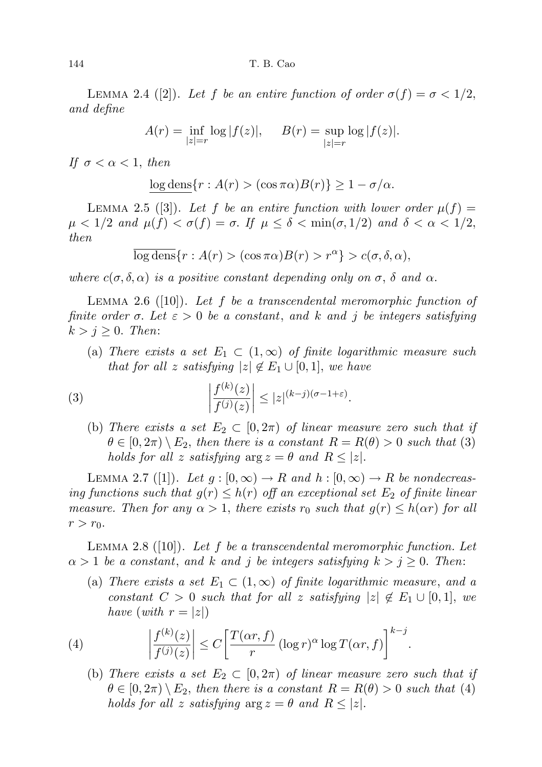LEMMA 2.4 ([2]). Let f be an entire function of order  $\sigma(f) = \sigma < 1/2$ , and define

$$
A(r) = \inf_{|z|=r} \log |f(z)|, \quad B(r) = \sup_{|z|=r} \log |f(z)|.
$$

If  $\sigma < \alpha < 1$ , then

$$
\underline{\log \text{dens}}\{r : A(r) > (\cos \pi \alpha)B(r)\} \ge 1 - \sigma/\alpha.
$$

LEMMA 2.5 ([3]). Let f be an entire function with lower order  $\mu(f)$  =  $\mu < 1/2$  and  $\mu(f) < \sigma(f) = \sigma$ . If  $\mu \leq \delta < \min(\sigma, 1/2)$  and  $\delta < \alpha < 1/2$ , then

 $\overline{\log \text{dens}}\{r : A(r) > (\cos \pi \alpha)B(r) > r^{\alpha}\} > c(\sigma, \delta, \alpha),$ 

where  $c(\sigma, \delta, \alpha)$  is a positive constant depending only on  $\sigma$ ,  $\delta$  and  $\alpha$ .

LEMMA 2.6 ([10]). Let f be a transcendental meromorphic function of finite order  $\sigma$ . Let  $\varepsilon > 0$  be a constant, and k and j be integers satisfying  $k > j \geq 0$ . Then:

(a) There exists a set  $E_1 \subset (1,\infty)$  of finite logarithmic measure such that for all z satisfying  $|z| \notin E_1 \cup [0,1]$ , we have

(3) 
$$
\left|\frac{f^{(k)}(z)}{f^{(j)}(z)}\right| \leq |z|^{(k-j)(\sigma-1+\varepsilon)}.
$$

(b) There exists a set  $E_2 \subset [0, 2\pi)$  of linear measure zero such that if  $\theta \in [0, 2\pi) \setminus E_2$ , then there is a constant  $R = R(\theta) > 0$  such that (3) holds for all z satisfying  $\arg z = \theta$  and  $R \leq |z|$ .

LEMMA 2.7 ([1]). Let  $g : [0, \infty) \to R$  and  $h : [0, \infty) \to R$  be nondecreasing functions such that  $g(r) \leq h(r)$  off an exceptional set  $E_2$  of finite linear measure. Then for any  $\alpha > 1$ , there exists  $r_0$  such that  $g(r) \leq h(\alpha r)$  for all  $r > r_0$ .

LEMMA 2.8 ([10]). Let  $f$  be a transcendental meromorphic function. Let  $\alpha > 1$  be a constant, and k and j be integers satisfying  $k > j \geq 0$ . Then:

(a) There exists a set  $E_1 \subset (1,\infty)$  of finite logarithmic measure, and a constant  $C > 0$  such that for all z satisfying  $|z| \notin E_1 \cup [0,1]$ , we have (with  $r = |z|$ )

(4) 
$$
\left|\frac{f^{(k)}(z)}{f^{(j)}(z)}\right| \leq C \left[\frac{T(\alpha r, f)}{r} (\log r)^{\alpha} \log T(\alpha r, f)\right]^{k-j}.
$$

(b) There exists a set  $E_2 \subset [0, 2\pi)$  of linear measure zero such that if  $\theta \in [0, 2\pi) \setminus E_2$ , then there is a constant  $R = R(\theta) > 0$  such that (4) holds for all z satisfying  $\arg z = \theta$  and  $R \leq |z|$ .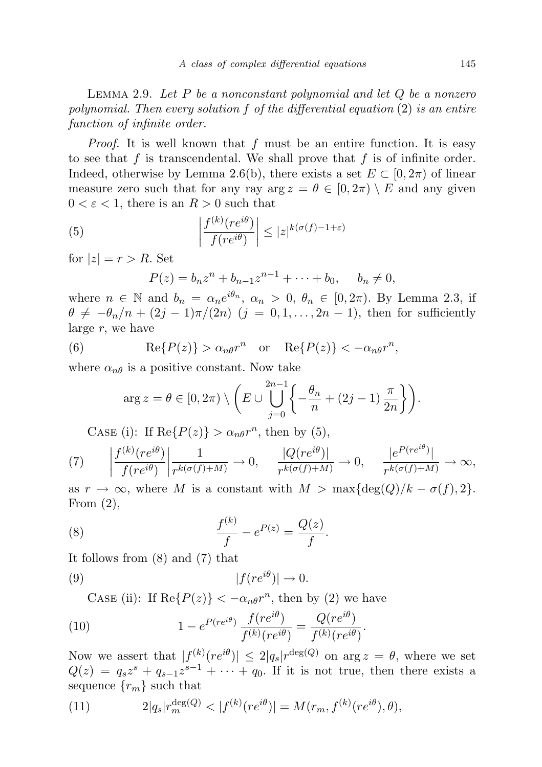LEMMA 2.9. Let  $P$  be a nonconstant polynomial and let  $Q$  be a nonzero polynomial. Then every solution  $f$  of the differential equation  $(2)$  is an entire function of infinite order.

*Proof.* It is well known that  $f$  must be an entire function. It is easy to see that f is transcendental. We shall prove that f is of infinite order. Indeed, otherwise by Lemma 2.6(b), there exists a set  $E \subset [0, 2\pi)$  of linear measure zero such that for any ray  $\arg z = \theta \in [0, 2\pi) \setminus E$  and any given  $0 < \varepsilon < 1$ , there is an  $R > 0$  such that

(5) 
$$
\left| \frac{f^{(k)}(re^{i\theta})}{f(re^{i\theta})} \right| \leq |z|^{k(\sigma(f)-1+\varepsilon)}
$$

for  $|z|=r > R$ . Set

$$
P(z) = b_n z^n + b_{n-1} z^{n-1} + \dots + b_0, \quad b_n \neq 0,
$$

where  $n \in \mathbb{N}$  and  $b_n = \alpha_n e^{i\theta_n}$ ,  $\alpha_n > 0$ ,  $\theta_n \in [0, 2\pi)$ . By Lemma 2.3, if  $\theta \neq -\theta_n/n + (2j-1)\pi/(2n)$   $(j = 0, 1, \ldots, 2n-1)$ , then for sufficiently large  $r$ , we have

(6) 
$$
\operatorname{Re}\{P(z)\} > \alpha_{n\theta}r^n \quad \text{or} \quad \operatorname{Re}\{P(z)\} < -\alpha_{n\theta}r^n,
$$

where  $\alpha_{n\theta}$  is a positive constant. Now take

$$
\arg z = \theta \in [0, 2\pi) \setminus \left( E \cup \bigcup_{j=0}^{2n-1} \left\{ -\frac{\theta_n}{n} + (2j-1) \frac{\pi}{2n} \right\} \right).
$$

CASE (i): If  $\text{Re}\{P(z)\} > \alpha_{n\theta} r^n$ , then by (5),

(7) 
$$
\left| \frac{f^{(k)}(re^{i\theta})}{f(re^{i\theta})} \right| \frac{1}{r^{k(\sigma(f)+M)}} \to 0, \quad \frac{|Q(re^{i\theta})|}{r^{k(\sigma(f)+M)}} \to 0, \quad \frac{|e^{P(re^{i\theta})}|}{r^{k(\sigma(f)+M)}} \to \infty,
$$

as  $r \to \infty$ , where M is a constant with  $M > \max\{\deg(Q)/k - \sigma(f), 2\}.$ From  $(2)$ ,

(8) 
$$
\frac{f^{(k)}}{f} - e^{P(z)} = \frac{Q(z)}{f}.
$$

It follows from (8) and (7) that

(9) 
$$
|f(re^{i\theta})| \to 0.
$$

CASE (ii): If  $\text{Re}\{P(z)\} < -\alpha_n \theta^{n}$ , then by (2) we have

(10) 
$$
1 - e^{P(re^{i\theta})} \frac{f(re^{i\theta})}{f^{(k)}(re^{i\theta})} = \frac{Q(re^{i\theta})}{f^{(k)}(re^{i\theta})}.
$$

Now we assert that  $|f^{(k)}(re^{i\theta})| \leq 2|q_s|r^{\deg(Q)}$  on  $\arg z = \theta$ , where we set  $Q(z) = q_s z^s + q_{s-1} z^{s-1} + \cdots + q_0$ . If it is not true, then there exists a sequence  $\{r_m\}$  such that

(11) 
$$
2|q_s|r_m^{\deg(Q)} < |f^{(k)}(re^{i\theta})| = M(r_m, f^{(k)}(re^{i\theta}), \theta),
$$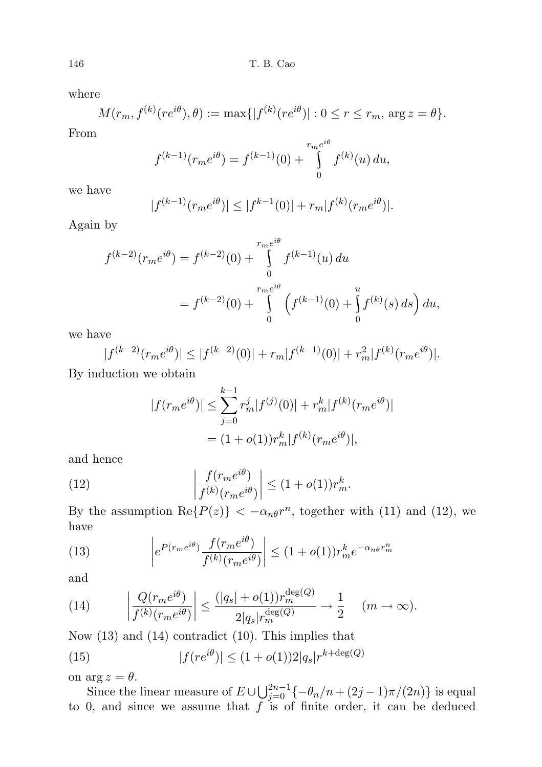where

$$
M(r_m, f^{(k)}(re^{i\theta}), \theta) := \max\{|f^{(k)}(re^{i\theta})| : 0 \le r \le r_m, \arg z = \theta\}.
$$

From

$$
f^{(k-1)}(r_m e^{i\theta}) = f^{(k-1)}(0) + \int_{0}^{r_m e^{i\theta}} f^{(k)}(u) du,
$$

we have

$$
|f^{(k-1)}(r_m e^{i\theta})| \le |f^{k-1}(0)| + r_m |f^{(k)}(r_m e^{i\theta})|.
$$

Again by

$$
f^{(k-2)}(r_m e^{i\theta}) = f^{(k-2)}(0) + \int_{0}^{r_m e^{i\theta}} f^{(k-1)}(u) du
$$
  
=  $f^{(k-2)}(0) + \int_{0}^{r_m e^{i\theta}} \left(f^{(k-1)}(0) + \int_{0}^{u} f^{(k)}(s) ds\right) du$ ,

we have

$$
|f^{(k-2)}(r_m e^{i\theta})| \le |f^{(k-2)}(0)| + r_m |f^{(k-1)}(0)| + r_m^2 |f^{(k)}(r_m e^{i\theta})|.
$$

By induction we obtain

$$
|f(r_m e^{i\theta})| \le \sum_{j=0}^{k-1} r_m^j |f^{(j)}(0)| + r_m^k |f^{(k)}(r_m e^{i\theta})|
$$
  
=  $(1 + o(1))r_m^k |f^{(k)}(r_m e^{i\theta})|$ ,

and hence

(12) 
$$
\left| \frac{f(r_m e^{i\theta})}{f^{(k)}(r_m e^{i\theta})} \right| \le (1 + o(1))r_m^k.
$$

By the assumption  $\text{Re}\{P(z)\} < -\alpha_n \theta^{n}$ , together with (11) and (12), we have

(13) 
$$
\left| e^{P(r_m e^{i\theta})} \frac{f(r_m e^{i\theta})}{f^{(k)}(r_m e^{i\theta})} \right| \le (1 + o(1)) r_m^k e^{-\alpha_n \theta r_m^n}
$$

and

(14) 
$$
\left| \frac{Q(r_m e^{i\theta})}{f^{(k)}(r_m e^{i\theta})} \right| \leq \frac{(|q_s| + o(1))r_m^{\deg(Q)}}{2|q_s|r_m^{\deg(Q)}} \to \frac{1}{2} \quad (m \to \infty).
$$

Now (13) and (14) contradict (10). This implies that

(15) 
$$
|f(re^{i\theta})| \le (1+o(1))2|q_s|r^{k+\deg(Q)}
$$

on  $\arg z = \theta$ .

Since the linear measure of  $E \cup \bigcup_{j=0}^{2n-1} \{-\theta_n/n + (2j-1)\pi/(2n)\}\)$  is equal to 0, and since we assume that  $f$  is of finite order, it can be deduced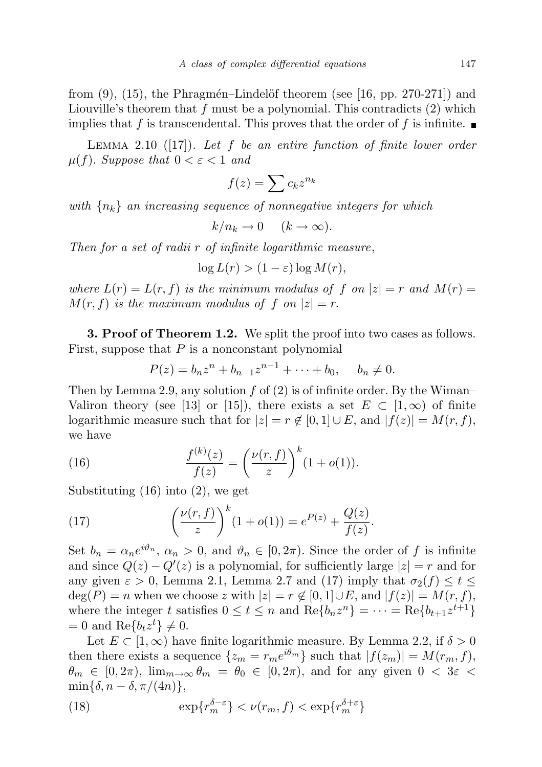from  $(9)$ ,  $(15)$ , the Phragmén–Lindelöf theorem (see [16, pp. 270-271]) and Liouville's theorem that f must be a polynomial. This contradicts  $(2)$  which implies that f is transcendental. This proves that the order of f is infinite.

LEMMA 2.10 ([17]). Let  $f$  be an entire function of finite lower order  $\mu(f)$ . Suppose that  $0 < \varepsilon < 1$  and

$$
f(z) = \sum c_k z^{n_k}
$$

with  $\{n_k\}$  an increasing sequence of nonnegative integers for which

$$
k/n_k \to 0 \quad (k \to \infty).
$$

Then for a set of radii r of infinite logarithmic measure,

$$
\log L(r) > (1 - \varepsilon) \log M(r),
$$

where  $L(r) = L(r, f)$  is the minimum modulus of f on  $|z| = r$  and  $M(r) =$  $M(r, f)$  is the maximum modulus of f on  $|z| = r$ .

**3. Proof of Theorem 1.2.** We split the proof into two cases as follows. First, suppose that  $P$  is a nonconstant polynomial

$$
P(z) = b_n z^n + b_{n-1} z^{n-1} + \dots + b_0, \quad b_n \neq 0.
$$

Then by Lemma 2.9, any solution  $f$  of  $(2)$  is of infinite order. By the Wiman– Valiron theory (see [13] or [15]), there exists a set  $E \subset [1,\infty)$  of finite logarithmic measure such that for  $|z| = r \notin [0, 1] \cup E$ , and  $|f(z)| = M(r, f)$ , we have

(16) 
$$
\frac{f^{(k)}(z)}{f(z)} = \left(\frac{\nu(r,f)}{z}\right)^k (1+o(1)).
$$

Substituting (16) into (2), we get

(17) 
$$
\left(\frac{\nu(r,f)}{z}\right)^k (1+o(1)) = e^{P(z)} + \frac{Q(z)}{f(z)}
$$

Set  $b_n = \alpha_n e^{i\vartheta_n}$ ,  $\alpha_n > 0$ , and  $\vartheta_n \in [0, 2\pi)$ . Since the order of f is infinite and since  $Q(z) - Q'(z)$  is a polynomial, for sufficiently large  $|z| = r$  and for any given  $\varepsilon > 0$ , Lemma 2.1, Lemma 2.7 and (17) imply that  $\sigma_2(f) \le t \le$  $\deg(P) = n$  when we choose z with  $|z| = r \notin [0, 1] \cup E$ , and  $|f(z)| = M(r, f)$ , where the integer t satisfies  $0 \le t \le n$  and  $\text{Re}\{b_n z^n\} = \cdots = \text{Re}\{b_{t+1} z^{t+1}\}$  $= 0$  and  $\text{Re}\lbrace b_t z^t \rbrace \neq 0.$ 

.

Let  $E \subset [1,\infty)$  have finite logarithmic measure. By Lemma 2.2, if  $\delta > 0$ then there exists a sequence  $\{z_m = r_m e^{i\theta_m}\}\$  such that  $|f(z_m)| = M(r_m, f),$  $\theta_m \in [0, 2\pi), \lim_{m \to \infty} \theta_m = \theta_0 \in [0, 2\pi),$  and for any given  $0 < 3\varepsilon <$  $\min\{\delta, n-\delta, \pi/(4n)\},\$ 

(18) 
$$
\exp\{r_m^{\delta-\varepsilon}\} < \nu(r_m, f) < \exp\{r_m^{\delta+\varepsilon}\}
$$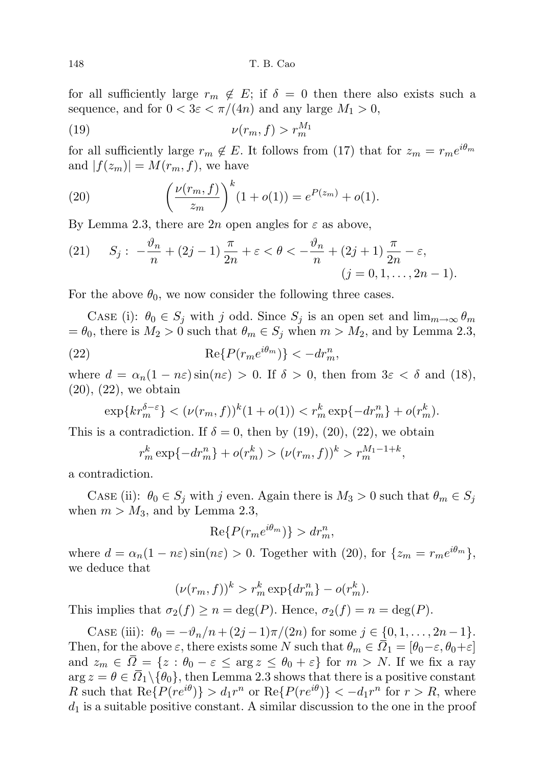for all sufficiently large  $r_m \notin E$ ; if  $\delta = 0$  then there also exists such a sequence, and for  $0 < 3\varepsilon < \pi/(4n)$  and any large  $M_1 > 0$ ,

$$
(19) \t\t\t\t\t\nu(r_m, f) > r_m^{M_1}
$$

for all sufficiently large  $r_m \notin E$ . It follows from (17) that for  $z_m = r_m e^{i\theta_m}$ and  $|f(z_m)| = M(r_m, f)$ , we have

(20) 
$$
\left(\frac{\nu(r_m, f)}{z_m}\right)^k (1 + o(1)) = e^{P(z_m)} + o(1).
$$

By Lemma 2.3, there are 2n open angles for  $\varepsilon$  as above,

(21) 
$$
S_j: -\frac{\vartheta_n}{n} + (2j-1)\frac{\pi}{2n} + \varepsilon < \theta < -\frac{\vartheta_n}{n} + (2j+1)\frac{\pi}{2n} - \varepsilon, \\
(j = 0, 1, \dots, 2n - 1).
$$

For the above  $\theta_0$ , we now consider the following three cases.

CASE (i):  $\theta_0 \in S_j$  with j odd. Since  $S_j$  is an open set and  $\lim_{m\to\infty} \theta_m$  $=\theta_0$ , there is  $M_2 > 0$  such that  $\theta_m \in S_i$  when  $m > M_2$ , and by Lemma 2.3, (22)  $\text{Re}\lbrace P(r_m e^{i\theta_m}) \rbrace < -dr_m^n$ ,

where  $d = \alpha_n(1 - n\varepsilon) \sin(n\varepsilon) > 0$ . If  $\delta > 0$ , then from  $3\varepsilon < \delta$  and (18), (20), (22), we obtain

$$
\exp\{kr_m^{\delta-\varepsilon}\} < (\nu(r_m, f))^k (1 + o(1)) < r_m^k \exp\{-dr_m^n\} + o(r_m^k).
$$

This is a contradiction. If  $\delta = 0$ , then by (19), (20), (22), we obtain

$$
r_m^k \exp\{-dr_m^n\} + o(r_m^k) > (\nu(r_m, f))^k > r_m^{M_1 - 1 + k},
$$

a contradiction.

CASE (ii):  $\theta_0 \in S_j$  with j even. Again there is  $M_3 > 0$  such that  $\theta_m \in S_j$ when  $m > M_3$ , and by Lemma 2.3,

$$
\operatorname{Re}\{P(r_m e^{i\theta_m})\} > dr_m^n,
$$

where  $d = \alpha_n(1 - n\varepsilon) \sin(n\varepsilon) > 0$ . Together with (20), for  $\{z_m = r_m e^{i\theta_m}\},$ we deduce that

$$
(\nu(r_m, f))^k > r_m^k \exp\{dr_m^n\} - o(r_m^k).
$$

This implies that  $\sigma_2(f) \geq n = \deg(P)$ . Hence,  $\sigma_2(f) = n = \deg(P)$ .

CASE (iii):  $\theta_0 = -\vartheta_n/n + (2j-1)\pi/(2n)$  for some  $j \in \{0, 1, ..., 2n-1\}.$ Then, for the above  $\varepsilon$ , there exists some N such that  $\theta_m \in \Omega_1 = [\theta_0 - \varepsilon, \theta_0 + \varepsilon]$ and  $z_m \in \overline{\Omega} = \{z : \theta_0 - \varepsilon \le \arg z \le \theta_0 + \varepsilon\}$  for  $m > N$ . If we fix a ray  $\arg z = \theta \in \overline{\Omega}_1 \setminus {\theta_0}$ , then Lemma 2.3 shows that there is a positive constant R such that  $\text{Re}\{P(re^{i\theta})\} > d_1r^n$  or  $\text{Re}\{P(re^{i\theta})\} < -d_1r^n$  for  $r > R$ , where  $d_1$  is a suitable positive constant. A similar discussion to the one in the proof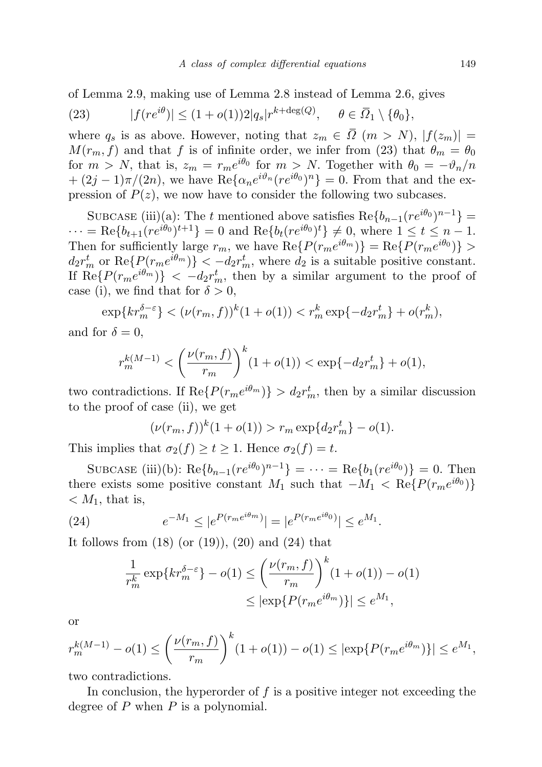of Lemma 2.9, making use of Lemma 2.8 instead of Lemma 2.6, gives

(23) 
$$
|f(re^{i\theta})| \le (1+o(1))2|q_s|r^{k+\deg(Q)}, \quad \theta \in \overline{\Omega}_1 \setminus \{\theta_0\},\
$$

where  $q_s$  is as above. However, noting that  $z_m \in \overline{\Omega}$   $(m > N)$ ,  $|f(z_m)| =$  $M(r_m, f)$  and that f is of infinite order, we infer from (23) that  $\theta_m = \theta_0$ for  $m > N$ , that is,  $z_m = r_m e^{i\theta_0}$  for  $m > N$ . Together with  $\theta_0 = -\vartheta_n/n$  $+(2j-1)\pi/(2n)$ , we have  $\text{Re}\{\alpha_n e^{i\vartheta_n}(re^{i\theta_0})^n\}=0$ . From that and the expression of  $P(z)$ , we now have to consider the following two subcases.

SUBCASE (iii)(a): The t mentioned above satisfies  $\text{Re}\lbrace b_{n-1}(re^{i\theta_0})^{n-1}\rbrace =$  $\cdots = \text{Re}\{b_{t+1}(re^{i\theta_0})^{t+1}\} = 0$  and  $\text{Re}\{b_t(re^{i\theta_0})^t\} \neq 0$ , where  $1 \leq t \leq n-1$ . Then for sufficiently large  $r_m$ , we have  $\text{Re}\{P(r_m e^{i\theta_m})\} = \text{Re}\{P(r_m e^{i\theta_0})\} >$  $d_2r_m^t$  or  $\text{Re}\{P(r_me^{i\theta_m})\} < -d_2r_m^t$ , where  $d_2$  is a suitable positive constant. If  $\text{Re}\{P(r_m e^{i\theta_m})\}$  <  $-d_2r_m^t$ , then by a similar argument to the proof of case (i), we find that for  $\delta > 0$ ,

$$
\exp\{kr_m^{\delta-\varepsilon}\} < (\nu(r_m, f))^k (1 + o(1)) < r_m^k \exp\{-d_2 r_m^t\} + o(r_m^k),
$$

and for  $\delta = 0$ ,

$$
r_m^{k(M-1)} < \left(\frac{\nu(r_m, f)}{r_m}\right)^k (1 + o(1)) < \exp\{-d_2 r_m^t\} + o(1),
$$

two contradictions. If  $\text{Re}\{P(r_m e^{i\theta_m})\} > d_2 r_m^t$ , then by a similar discussion to the proof of case (ii), we get

$$
(\nu(r_m, f))^k (1 + o(1)) > r_m \exp\{d_2 r_m^t\} - o(1).
$$

This implies that  $\sigma_2(f) \ge t \ge 1$ . Hence  $\sigma_2(f) = t$ .

SUBCASE (iii)(b):  $\text{Re}\{b_{n-1}(re^{i\theta_0})^{n-1}\} = \cdots = \text{Re}\{b_1(re^{i\theta_0})\} = 0.$  Then there exists some positive constant  $M_1$  such that  $-M_1 < \text{Re}\{P(r_m e^{i\theta_0})\}$  $\langle M_1, \text{that is,}$ 

(24) 
$$
e^{-M_1} \le |e^{P(r_m e^{i\theta_m})}| = |e^{P(r_m e^{i\theta_0})}| \le e^{M_1}.
$$

It follows from  $(18)$  (or  $(19)$ ),  $(20)$  and  $(24)$  that

$$
\frac{1}{r_m^k} \exp\{kr_m^{\delta-\varepsilon}\} - o(1) \le \left(\frac{\nu(r_m, f)}{r_m}\right)^k (1 + o(1)) - o(1)
$$
  

$$
\le \left|\exp\{P(r_m e^{i\theta_m})\}\right| \le e^{M_1},
$$

or

$$
r_m^{k(M-1)} - o(1) \le \left(\frac{\nu(r_m, f)}{r_m}\right)^k (1 + o(1)) - o(1) \le |\exp\{P(r_m e^{i\theta_m})\}| \le e^{M_1},
$$

two contradictions.

In conclusion, the hyperorder of  $f$  is a positive integer not exceeding the degree of  $P$  when  $P$  is a polynomial.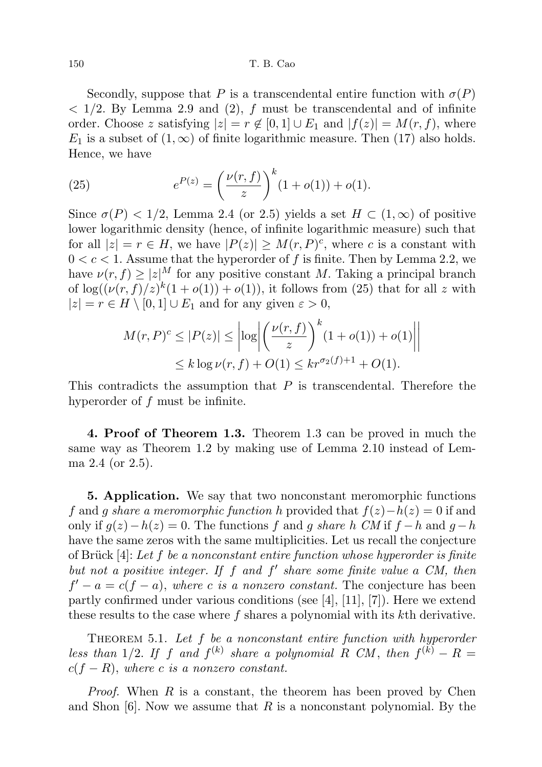### 150 T. B. Cao

Secondly, suppose that P is a transcendental entire function with  $\sigma(P)$  $<$  1/2. By Lemma 2.9 and (2), f must be transcendental and of infinite order. Choose z satisfying  $|z| = r \notin [0, 1] \cup E_1$  and  $|f(z)| = M(r, f)$ , where  $E_1$  is a subset of  $(1,\infty)$  of finite logarithmic measure. Then (17) also holds. Hence, we have

(25) 
$$
e^{P(z)} = \left(\frac{\nu(r,f)}{z}\right)^k (1+o(1)) + o(1).
$$

Since  $\sigma(P)$  < 1/2, Lemma 2.4 (or 2.5) yields a set  $H \subset (1,\infty)$  of positive lower logarithmic density (hence, of infinite logarithmic measure) such that for all  $|z| = r \in H$ , we have  $|P(z)| \geq M(r, P)^c$ , where c is a constant with  $0 < c < 1$ . Assume that the hyperorder of f is finite. Then by Lemma 2.2, we have  $\nu(r, f) \geq |z|^M$  for any positive constant M. Taking a principal branch of  $\log((\nu(r, f)/z)^k(1+o(1))+o(1)),$  it follows from (25) that for all z with  $|z| = r \in H \setminus [0,1] \cup E_1$  and for any given  $\varepsilon > 0$ ,

$$
M(r, P)^{c} \le |P(z)| \le \left| \log \left| \left( \frac{\nu(r, f)}{z} \right)^{k} (1 + o(1)) + o(1) \right| \right|
$$
  

$$
\le k \log \nu(r, f) + O(1) \le kr^{\sigma_2(f) + 1} + O(1).
$$

This contradicts the assumption that  $P$  is transcendental. Therefore the hyperorder of f must be infinite.

4. Proof of Theorem 1.3. Theorem 1.3 can be proved in much the same way as Theorem 1.2 by making use of Lemma 2.10 instead of Lemma 2.4 (or 2.5).

5. Application. We say that two nonconstant meromorphic functions f and g share a meromorphic function h provided that  $f(z)-h(z)=0$  if and only if  $g(z)-h(z)=0$ . The functions f and g share h CM if  $f-h$  and  $g-h$ have the same zeros with the same multiplicities. Let us recall the conjecture of Brück  $[4]$ : Let f be a nonconstant entire function whose hyperorder is finite but not a positive integer. If  $f$  and  $f'$  share some finite value a CM, then  $f' - a = c(f - a)$ , where c is a nonzero constant. The conjecture has been partly confirmed under various conditions (see  $[4]$ ,  $[11]$ ,  $[7]$ ). Here we extend these results to the case where  $f$  shares a polynomial with its  $k$ th derivative.

THEOREM 5.1. Let  $f$  be a nonconstant entire function with hyperorder less than 1/2. If f and  $f^{(k)}$  share a polynomial R CM, then  $f^{(k)} - R =$  $c(f - R)$ , where c is a nonzero constant.

*Proof.* When  $R$  is a constant, the theorem has been proved by Chen and Shon  $[6]$ . Now we assume that R is a nonconstant polynomial. By the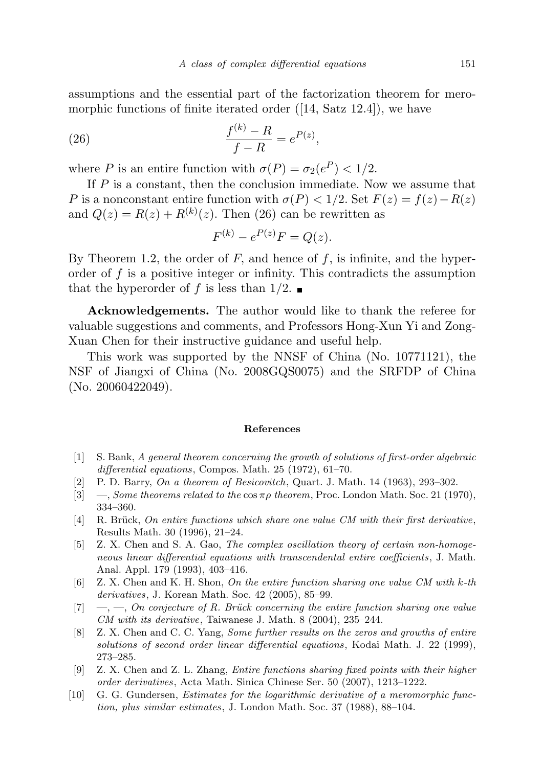assumptions and the essential part of the factorization theorem for meromorphic functions of finite iterated order ([14, Satz 12.4]), we have

(26) 
$$
\frac{f^{(k)} - R}{f - R} = e^{P(z)},
$$

where P is an entire function with  $\sigma(P) = \sigma_2(e^P) < 1/2$ .

If  $P$  is a constant, then the conclusion immediate. Now we assume that P is a nonconstant entire function with  $\sigma(P) < 1/2$ . Set  $F(z) = f(z) - R(z)$ and  $Q(z) = R(z) + R^{(k)}(z)$ . Then (26) can be rewritten as

$$
F^{(k)} - e^{P(z)}F = Q(z).
$$

By Theorem 1.2, the order of  $F$ , and hence of  $f$ , is infinite, and the hyperorder of f is a positive integer or infinity. This contradicts the assumption that the hyperorder of f is less than  $1/2$ .

Acknowledgements. The author would like to thank the referee for valuable suggestions and comments, and Professors Hong-Xun Yi and Zong-Xuan Chen for their instructive guidance and useful help.

This work was supported by the NNSF of China (No. 10771121), the NSF of Jiangxi of China (No. 2008GQS0075) and the SRFDP of China (No. 20060422049).

## References

- [1] S. Bank, A general theorem concerning the growth of solutions of first-order algebraic differential equations, Compos. Math. 25 (1972), 61–70.
- [2] P. D. Barry, On a theorem of Besicovitch, Quart. J. Math. 14 (1963), 293–302.
- [3] —, Some theorems related to the  $\cos \pi \rho$  theorem, Proc. London Math. Soc. 21 (1970), 334–360.
- [4] R. Brück, On entire functions which share one value CM with their first derivative, Results Math. 30 (1996), 21–24.
- [5] Z. X. Chen and S. A. Gao, The complex oscillation theory of certain non-homogeneous linear differential equations with transcendental entire coefficients, J. Math. Anal. Appl. 179 (1993), 403–416.
- [6] Z. X. Chen and K. H. Shon, On the entire function sharing one value CM with k-th derivatives, J. Korean Math. Soc. 42 (2005), 85–99.
- $[7] \quad -,-$ , On conjecture of R. Brück concerning the entire function sharing one value CM with its derivative, Taiwanese J. Math. 8 (2004), 235–244.
- [8] Z. X. Chen and C. C. Yang, Some further results on the zeros and growths of entire solutions of second order linear differential equations, Kodai Math. J. 22 (1999), 273–285.
- [9] Z. X. Chen and Z. L. Zhang, Entire functions sharing fixed points with their higher order derivatives, Acta Math. Sinica Chinese Ser. 50 (2007), 1213–1222.
- [10] G. G. Gundersen, Estimates for the logarithmic derivative of a meromorphic function, plus similar estimates, J. London Math. Soc. 37 (1988), 88–104.